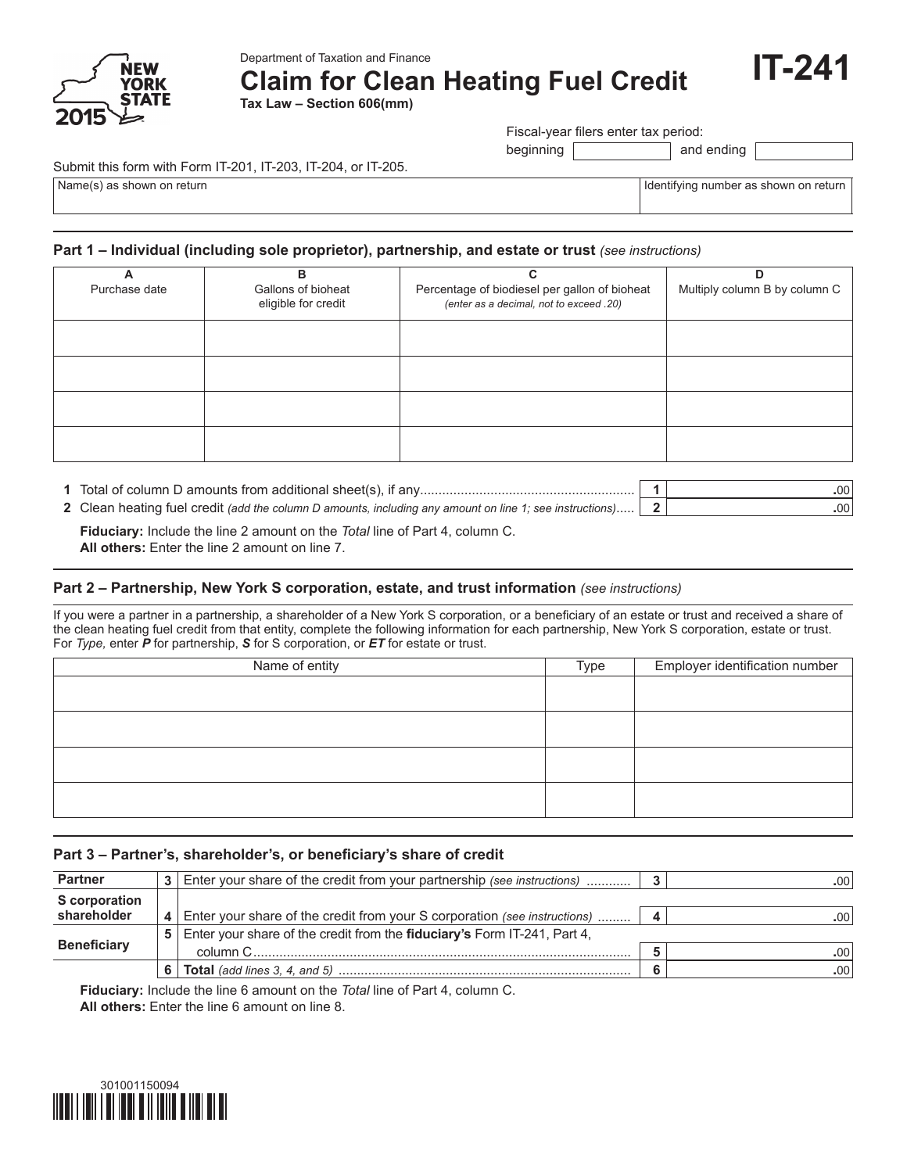

Department of Taxation and Finance

**Claim for Clean Heating Fuel Credit**

**Tax Law – Section 606(mm)**

Fiscal-year filers enter tax period:

beginning and ending

Submit this form with Form IT-201, IT-203, IT-204, or IT-205.

Name(s) as shown on return in the state of the state of the state of the state of the state of the state of the state of the state of the state of the state of the state of the state of the state of the state of the state

**IT-241**

### **Part 1 – Individual (including sole proprietor), partnership, and estate or trust** *(see instructions)*

| в                                         | C                                                                                        | D                             |
|-------------------------------------------|------------------------------------------------------------------------------------------|-------------------------------|
| Gallons of bioheat<br>eligible for credit | Percentage of biodiesel per gallon of bioheat<br>(enter as a decimal, not to exceed .20) | Multiply column B by column C |
|                                           |                                                                                          |                               |
|                                           |                                                                                          |                               |
|                                           |                                                                                          |                               |
|                                           |                                                                                          |                               |
|                                           |                                                                                          |                               |

| 1 Total of column D amounts from additional sheet(s), if any                                             | .00  |
|----------------------------------------------------------------------------------------------------------|------|
| 2 Clean heating fuel credit (add the column D amounts, including any amount on line 1; see instructions) | .00. |

 **Fiduciary:** Include the line 2 amount on the *Total* line of Part 4, column C.  **All others:** Enter the line 2 amount on line 7.

#### **Part 2 – Partnership, New York S corporation, estate, and trust information** *(see instructions)*

If you were a partner in a partnership, a shareholder of a New York S corporation, or a beneficiary of an estate or trust and received a share of the clean heating fuel credit from that entity, complete the following information for each partnership, New York S corporation, estate or trust. For *Type,* enter *P* for partnership, *S* for S corporation, or *ET* for estate or trust.

| Name of entity | Type | Employer identification number |
|----------------|------|--------------------------------|
|                |      |                                |
|                |      |                                |
|                |      |                                |
|                |      |                                |
|                |      |                                |
|                |      |                                |
|                |      |                                |
|                |      |                                |

#### Part 3 - Partner's, shareholder's, or beneficiary's share of credit

| <b>Partner</b><br>Enter your share of the credit from your partnership (see instructions) |   |                                                                           | .00' |                  |  |  |
|-------------------------------------------------------------------------------------------|---|---------------------------------------------------------------------------|------|------------------|--|--|
| S corporation                                                                             |   |                                                                           |      |                  |  |  |
| shareholder                                                                               |   | Enter your share of the credit from your S corporation (see instructions) |      | $.00^{\circ}$    |  |  |
|                                                                                           | 5 | Enter your share of the credit from the fiduciary's Form IT-241, Part 4,  |      |                  |  |  |
| <b>Beneficiary</b>                                                                        |   | column C.                                                                 |      | .00.             |  |  |
|                                                                                           |   | i <b>  Total</b> (add lines 3, 4, and 5)  ……………………………………………………………………      |      | .00 <sup>°</sup> |  |  |

 **Fiduciary:** Include the line 6 amount on the *Total* line of Part 4, column C.

 **All others:** Enter the line 6 amount on line 8.